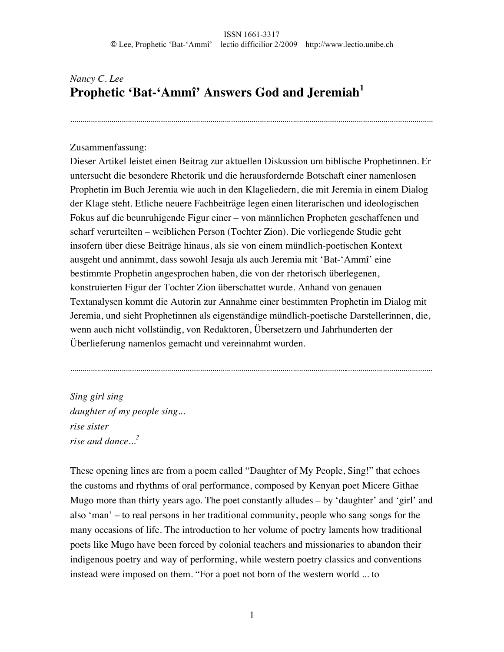................................................................................................................................................................................

# *Nancy C. Lee* **Prophetic 'Bat-'Ammî' Answers God and Jeremiah<sup>1</sup>**

### Zusammenfassung:

Dieser Artikel leistet einen Beitrag zur aktuellen Diskussion um biblische Prophetinnen. Er untersucht die besondere Rhetorik und die herausfordernde Botschaft einer namenlosen Prophetin im Buch Jeremia wie auch in den Klageliedern, die mit Jeremia in einem Dialog der Klage steht. Etliche neuere Fachbeiträge legen einen literarischen und ideologischen Fokus auf die beunruhigende Figur einer – von männlichen Propheten geschaffenen und scharf verurteilten – weiblichen Person (Tochter Zion). Die vorliegende Studie geht insofern über diese Beiträge hinaus, als sie von einem mündlich-poetischen Kontext ausgeht und annimmt, dass sowohl Jesaja als auch Jeremia mit 'Bat-'Ammî' eine bestimmte Prophetin angesprochen haben, die von der rhetorisch überlegenen, konstruierten Figur der Tochter Zion überschattet wurde. Anhand von genauen Textanalysen kommt die Autorin zur Annahme einer bestimmten Prophetin im Dialog mit Jeremia, und sieht Prophetinnen als eigenständige mündlich-poetische Darstellerinnen, die, wenn auch nicht vollständig, von Redaktoren, Übersetzern und Jahrhunderten der Überlieferung namenlos gemacht und vereinnahmt wurden.

................................................................................................................................................................................

*Sing girl sing daughter of my people sing... rise sister rise and dance...<sup>2</sup>*

These opening lines are from a poem called "Daughter of My People, Sing!" that echoes the customs and rhythms of oral performance, composed by Kenyan poet Micere Githae Mugo more than thirty years ago. The poet constantly alludes – by 'daughter' and 'girl' and also 'man' – to real persons in her traditional community, people who sang songs for the many occasions of life. The introduction to her volume of poetry laments how traditional poets like Mugo have been forced by colonial teachers and missionaries to abandon their indigenous poetry and way of performing, while western poetry classics and conventions instead were imposed on them. "For a poet not born of the western world ... to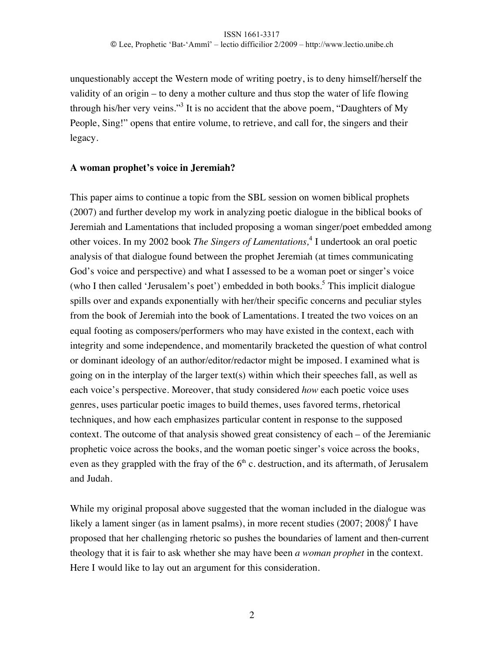unquestionably accept the Western mode of writing poetry, is to deny himself/herself the validity of an origin – to deny a mother culture and thus stop the water of life flowing through his/her very veins."<sup>3</sup> It is no accident that the above poem, "Daughters of My People, Sing!" opens that entire volume, to retrieve, and call for, the singers and their legacy.

### **A woman prophet's voice in Jeremiah?**

This paper aims to continue a topic from the SBL session on women biblical prophets (2007) and further develop my work in analyzing poetic dialogue in the biblical books of Jeremiah and Lamentations that included proposing a woman singer/poet embedded among other voices. In my 2002 book *The Singers of Lamentations*,<sup>4</sup> I undertook an oral poetic analysis of that dialogue found between the prophet Jeremiah (at times communicating God's voice and perspective) and what I assessed to be a woman poet or singer's voice (who I then called 'Jerusalem's poet') embedded in both books.<sup>5</sup> This implicit dialogue spills over and expands exponentially with her/their specific concerns and peculiar styles from the book of Jeremiah into the book of Lamentations. I treated the two voices on an equal footing as composers/performers who may have existed in the context, each with integrity and some independence, and momentarily bracketed the question of what control or dominant ideology of an author/editor/redactor might be imposed. I examined what is going on in the interplay of the larger text(s) within which their speeches fall, as well as each voice's perspective. Moreover, that study considered *how* each poetic voice uses genres, uses particular poetic images to build themes, uses favored terms, rhetorical techniques, and how each emphasizes particular content in response to the supposed context. The outcome of that analysis showed great consistency of each – of the Jeremianic prophetic voice across the books, and the woman poetic singer's voice across the books, even as they grappled with the fray of the  $6<sup>th</sup>$  c. destruction, and its aftermath, of Jerusalem and Judah.

While my original proposal above suggested that the woman included in the dialogue was likely a lament singer (as in lament psalms), in more recent studies (2007; 2008)<sup>6</sup> I have proposed that her challenging rhetoric so pushes the boundaries of lament and then-current theology that it is fair to ask whether she may have been *a woman prophet* in the context. Here I would like to lay out an argument for this consideration.

2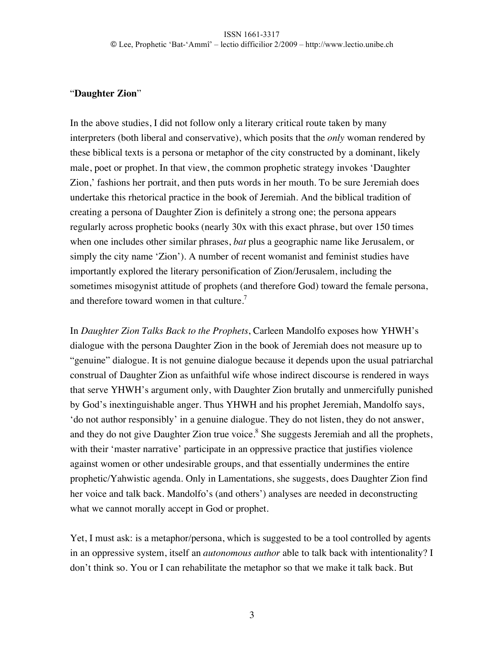### "**Daughter Zion**"

In the above studies, I did not follow only a literary critical route taken by many interpreters (both liberal and conservative), which posits that the *only* woman rendered by these biblical texts is a persona or metaphor of the city constructed by a dominant, likely male, poet or prophet. In that view, the common prophetic strategy invokes 'Daughter Zion,' fashions her portrait, and then puts words in her mouth. To be sure Jeremiah does undertake this rhetorical practice in the book of Jeremiah. And the biblical tradition of creating a persona of Daughter Zion is definitely a strong one; the persona appears regularly across prophetic books (nearly 30x with this exact phrase, but over 150 times when one includes other similar phrases, *bat* plus a geographic name like Jerusalem, or simply the city name 'Zion'). A number of recent womanist and feminist studies have importantly explored the literary personification of Zion/Jerusalem, including the sometimes misogynist attitude of prophets (and therefore God) toward the female persona, and therefore toward women in that culture.<sup>7</sup>

In *Daughter Zion Talks Back to the Prophets*, Carleen Mandolfo exposes how YHWH's dialogue with the persona Daughter Zion in the book of Jeremiah does not measure up to "genuine" dialogue. It is not genuine dialogue because it depends upon the usual patriarchal construal of Daughter Zion as unfaithful wife whose indirect discourse is rendered in ways that serve YHWH's argument only, with Daughter Zion brutally and unmercifully punished by God's inextinguishable anger. Thus YHWH and his prophet Jeremiah, Mandolfo says, 'do not author responsibly' in a genuine dialogue. They do not listen, they do not answer, and they do not give Daughter Zion true voice.<sup>8</sup> She suggests Jeremiah and all the prophets, with their 'master narrative' participate in an oppressive practice that justifies violence against women or other undesirable groups, and that essentially undermines the entire prophetic/Yahwistic agenda. Only in Lamentations, she suggests, does Daughter Zion find her voice and talk back. Mandolfo's (and others') analyses are needed in deconstructing what we cannot morally accept in God or prophet.

Yet, I must ask: is a metaphor/persona, which is suggested to be a tool controlled by agents in an oppressive system, itself an *autonomous author* able to talk back with intentionality? I don't think so. You or I can rehabilitate the metaphor so that we make it talk back. But

3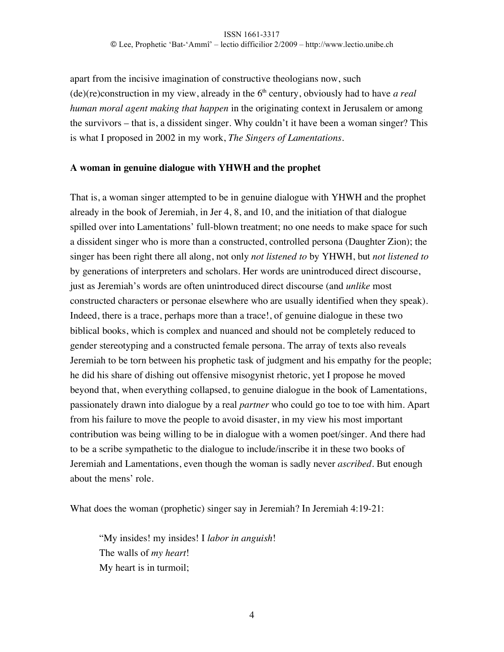### ISSN 1661-3317 © Lee, Prophetic 'Bat-'Ammî' – lectio difficilior 2/2009 – http://www.lectio.unibe.ch

apart from the incisive imagination of constructive theologians now, such  $(de)(re)$ construction in my view, already in the  $6<sup>th</sup>$  century, obviously had to have *a real human moral agent making that happen* in the originating context in Jerusalem or among the survivors – that is, a dissident singer. Why couldn't it have been a woman singer? This is what I proposed in 2002 in my work, *The Singers of Lamentations.*

### **A woman in genuine dialogue with YHWH and the prophet**

That is, a woman singer attempted to be in genuine dialogue with YHWH and the prophet already in the book of Jeremiah, in Jer 4, 8, and 10, and the initiation of that dialogue spilled over into Lamentations' full-blown treatment; no one needs to make space for such a dissident singer who is more than a constructed, controlled persona (Daughter Zion); the singer has been right there all along, not only *not listened to* by YHWH, but *not listened to* by generations of interpreters and scholars. Her words are unintroduced direct discourse, just as Jeremiah's words are often unintroduced direct discourse (and *unlike* most constructed characters or personae elsewhere who are usually identified when they speak). Indeed, there is a trace, perhaps more than a trace!, of genuine dialogue in these two biblical books, which is complex and nuanced and should not be completely reduced to gender stereotyping and a constructed female persona. The array of texts also reveals Jeremiah to be torn between his prophetic task of judgment and his empathy for the people; he did his share of dishing out offensive misogynist rhetoric, yet I propose he moved beyond that, when everything collapsed, to genuine dialogue in the book of Lamentations, passionately drawn into dialogue by a real *partner* who could go toe to toe with him. Apart from his failure to move the people to avoid disaster, in my view his most important contribution was being willing to be in dialogue with a women poet/singer. And there had to be a scribe sympathetic to the dialogue to include/inscribe it in these two books of Jeremiah and Lamentations, even though the woman is sadly never *ascribed*. But enough about the mens' role.

What does the woman (prophetic) singer say in Jeremiah? In Jeremiah 4:19-21:

"My insides! my insides! I *labor in anguish*! The walls of *my heart*! My heart is in turmoil;

4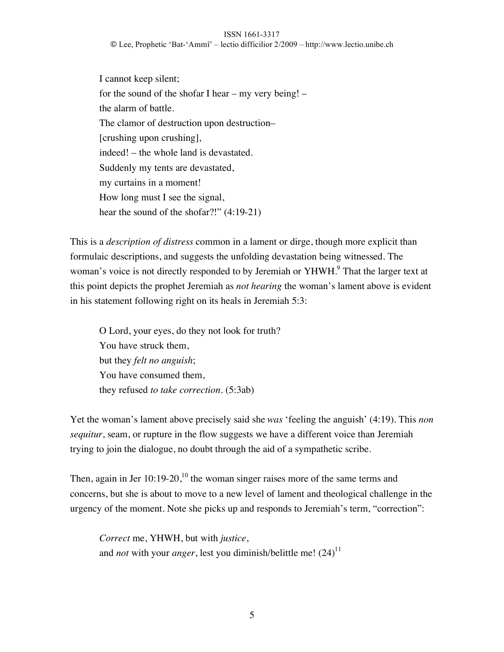#### ISSN 1661-3317

© Lee, Prophetic 'Bat-'Ammî' – lectio difficilior 2/2009 – http://www.lectio.unibe.ch

I cannot keep silent; for the sound of the shofar I hear – my very being! – the alarm of battle. The clamor of destruction upon destruction– [crushing upon crushing], indeed! – the whole land is devastated. Suddenly my tents are devastated, my curtains in a moment! How long must I see the signal, hear the sound of the shofar?!" (4:19-21)

This is a *description of distress* common in a lament or dirge, though more explicit than formulaic descriptions, and suggests the unfolding devastation being witnessed. The woman's voice is not directly responded to by Jeremiah or YHWH.<sup>9</sup> That the larger text at this point depicts the prophet Jeremiah as *not hearing* the woman's lament above is evident in his statement following right on its heals in Jeremiah 5:3:

O Lord, your eyes, do they not look for truth? You have struck them, but they *felt no anguish*; You have consumed them, they refused *to take correction*. (5:3ab)

Yet the woman's lament above precisely said she *was* 'feeling the anguish' (4:19). This *non sequitur*, seam, or rupture in the flow suggests we have a different voice than Jeremiah trying to join the dialogue, no doubt through the aid of a sympathetic scribe.

Then, again in Jer  $10:19-20$ ,<sup>10</sup> the woman singer raises more of the same terms and concerns, but she is about to move to a new level of lament and theological challenge in the urgency of the moment. Note she picks up and responds to Jeremiah's term, "correction":

*Correct* me, YHWH, but with *justice*, and *not* with your *anger*, lest you diminish/belittle me! (24)<sup>11</sup>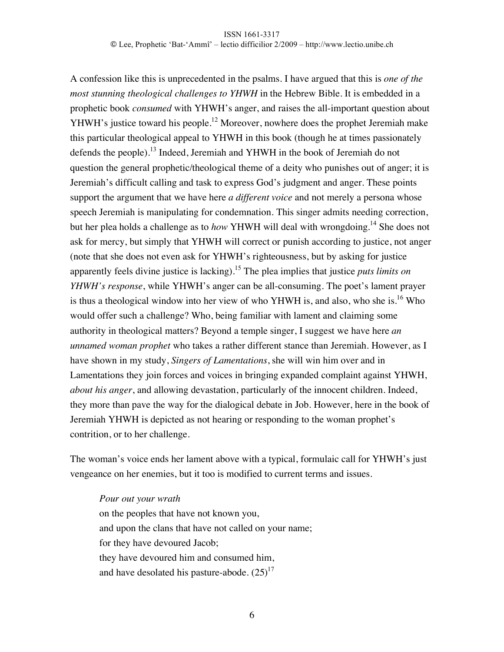A confession like this is unprecedented in the psalms. I have argued that this is *one of the most stunning theological challenges to YHWH* in the Hebrew Bible. It is embedded in a prophetic book *consumed* with YHWH's anger, and raises the all-important question about YHWH's justice toward his people.<sup>12</sup> Moreover, nowhere does the prophet Jeremiah make this particular theological appeal to YHWH in this book (though he at times passionately defends the people).<sup>13</sup> Indeed, Jeremiah and YHWH in the book of Jeremiah do not question the general prophetic/theological theme of a deity who punishes out of anger; it is Jeremiah's difficult calling and task to express God's judgment and anger. These points support the argument that we have here *a different voice* and not merely a persona whose speech Jeremiah is manipulating for condemnation. This singer admits needing correction, but her plea holds a challenge as to *how* YHWH will deal with wrongdoing*.* <sup>14</sup> She does not ask for mercy, but simply that YHWH will correct or punish according to justice, not anger (note that she does not even ask for YHWH's righteousness, but by asking for justice apparently feels divine justice is lacking).<sup>15</sup> The plea implies that justice *puts limits on YHWH's response*, while YHWH's anger can be all-consuming. The poet's lament prayer is thus a theological window into her view of who YHWH is, and also, who she is.<sup>16</sup> Who would offer such a challenge? Who, being familiar with lament and claiming some authority in theological matters? Beyond a temple singer, I suggest we have here *an unnamed woman prophet* who takes a rather different stance than Jeremiah. However, as I have shown in my study, *Singers of Lamentations*, she will win him over and in Lamentations they join forces and voices in bringing expanded complaint against YHWH, *about his anger*, and allowing devastation, particularly of the innocent children. Indeed, they more than pave the way for the dialogical debate in Job. However, here in the book of Jeremiah YHWH is depicted as not hearing or responding to the woman prophet's contrition, or to her challenge.

The woman's voice ends her lament above with a typical, formulaic call for YHWH's just vengeance on her enemies, but it too is modified to current terms and issues.

*Pour out your wrath* on the peoples that have not known you, and upon the clans that have not called on your name; for they have devoured Jacob; they have devoured him and consumed him, and have desolated his pasture-abode.  $(25)^{17}$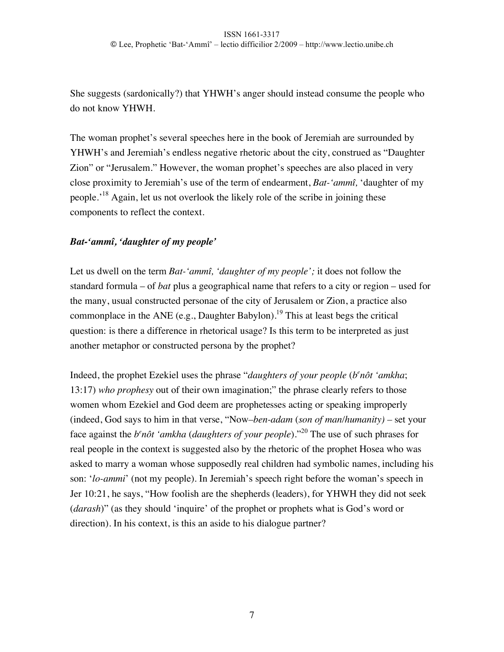She suggests (sardonically?) that YHWH's anger should instead consume the people who do not know YHWH.

The woman prophet's several speeches here in the book of Jeremiah are surrounded by YHWH's and Jeremiah's endless negative rhetoric about the city, construed as "Daughter Zion" or "Jerusalem." However, the woman prophet's speeches are also placed in very close proximity to Jeremiah's use of the term of endearment, *Bat-'ammî,* 'daughter of my people.'<sup>18</sup> Again, let us not overlook the likely role of the scribe in joining these components to reflect the context.

## *Bat-'ammî, 'daughter of my people'*

Let us dwell on the term *Bat-'ammî, 'daughter of my people';* it does not follow the standard formula – of *bat* plus a geographical name that refers to a city or region – used for the many, usual constructed personae of the city of Jerusalem or Zion, a practice also commonplace in the ANE (e.g., Daughter Babylon).<sup>19</sup> This at least begs the critical question: is there a difference in rhetorical usage? Is this term to be interpreted as just another metaphor or constructed persona by the prophet?

Indeed, the prophet Ezekiel uses the phrase "*daughters of your people* (*be nôt 'amkha*; 13:17) *who prophesy* out of their own imagination;" the phrase clearly refers to those women whom Ezekiel and God deem are prophetesses acting or speaking improperly (indeed, God says to him in that verse, "Now*–ben-adam* (*son of man/humanity) –* set your face against the *b<sup>e</sup>nôt 'amkha (daughters of your people*)."<sup>20</sup> The use of such phrases for real people in the context is suggested also by the rhetoric of the prophet Hosea who was asked to marry a woman whose supposedly real children had symbolic names, including his son: '*lo-ammi*' (not my people). In Jeremiah's speech right before the woman's speech in Jer 10:21, he says, "How foolish are the shepherds (leaders), for YHWH they did not seek (*darash*)" (as they should 'inquire' of the prophet or prophets what is God's word or direction). In his context, is this an aside to his dialogue partner?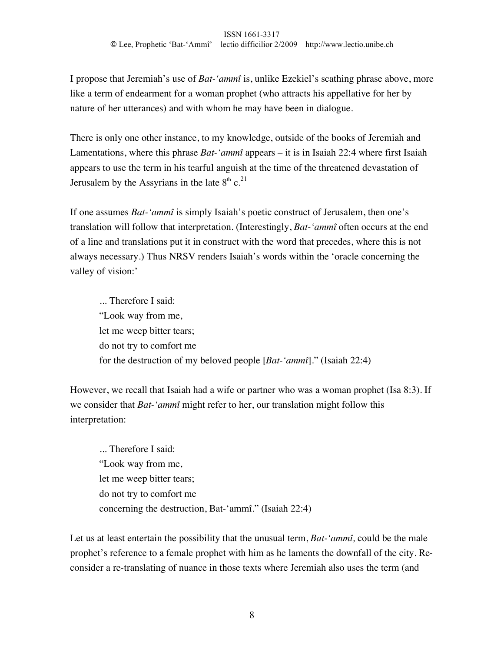I propose that Jeremiah's use of *Bat-'ammî* is, unlike Ezekiel's scathing phrase above, more like a term of endearment for a woman prophet (who attracts his appellative for her by nature of her utterances) and with whom he may have been in dialogue.

There is only one other instance, to my knowledge, outside of the books of Jeremiah and Lamentations, where this phrase *Bat-'ammî* appears – it is in Isaiah 22:4 where first Isaiah appears to use the term in his tearful anguish at the time of the threatened devastation of Jerusalem by the Assyrians in the late  $8<sup>th</sup>$  c.<sup>21</sup>

If one assumes *Bat-'ammî* is simply Isaiah's poetic construct of Jerusalem, then one's translation will follow that interpretation. (Interestingly, *Bat-'ammî* often occurs at the end of a line and translations put it in construct with the word that precedes, where this is not always necessary.) Thus NRSV renders Isaiah's words within the 'oracle concerning the valley of vision:'

... Therefore I said: "Look way from me, let me weep bitter tears; do not try to comfort me for the destruction of my beloved people [*Bat-'ammî*]." (Isaiah 22:4)

However, we recall that Isaiah had a wife or partner who was a woman prophet (Isa 8:3). If we consider that *Bat-'ammî* might refer to her, our translation might follow this interpretation:

... Therefore I said: "Look way from me, let me weep bitter tears; do not try to comfort me concerning the destruction, Bat-'ammî." (Isaiah 22:4)

Let us at least entertain the possibility that the unusual term, *Bat-'ammî,* could be the male prophet's reference to a female prophet with him as he laments the downfall of the city. Reconsider a re-translating of nuance in those texts where Jeremiah also uses the term (and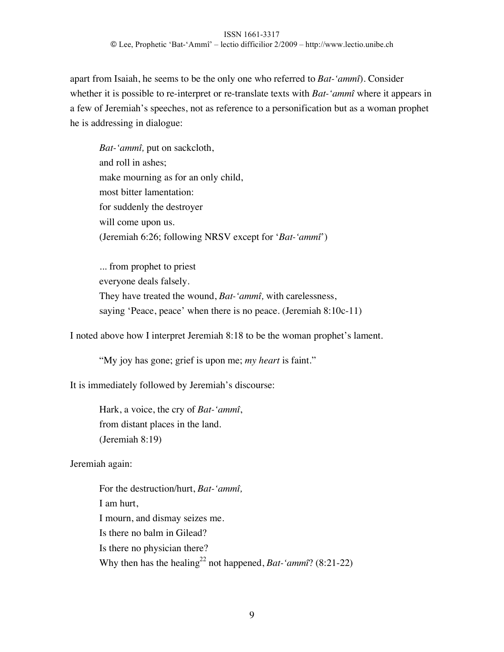apart from Isaiah, he seems to be the only one who referred to *Bat-'ammî*). Consider whether it is possible to re-interpret or re-translate texts with *Bat-'ammî* where it appears in a few of Jeremiah's speeches, not as reference to a personification but as a woman prophet he is addressing in dialogue:

*Bat-'ammî,* put on sackcloth, and roll in ashes; make mourning as for an only child, most bitter lamentation: for suddenly the destroyer will come upon us. (Jeremiah 6:26; following NRSV except for '*Bat-'ammî*')

... from prophet to priest everyone deals falsely. They have treated the wound, *Bat-'ammî,* with carelessness, saying 'Peace, peace' when there is no peace. (Jeremiah 8:10c-11)

I noted above how I interpret Jeremiah 8:18 to be the woman prophet's lament.

"My joy has gone; grief is upon me; *my heart* is faint."

It is immediately followed by Jeremiah's discourse:

Hark, a voice, the cry of *Bat-'ammî*, from distant places in the land. (Jeremiah 8:19)

Jeremiah again:

For the destruction/hurt, *Bat-'ammî,* I am hurt, I mourn, and dismay seizes me. Is there no balm in Gilead? Is there no physician there? Why then has the healing<sup>22</sup> not happened, *Bat-'ammî*? (8:21-22)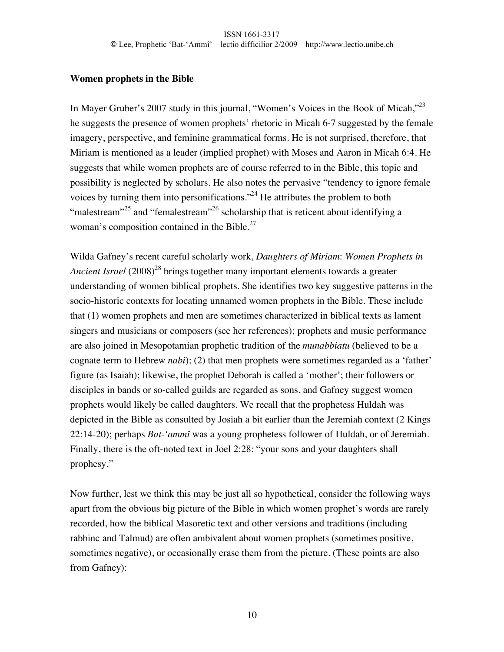### **Women prophets in the Bible**

In Mayer Gruber's 2007 study in this journal, "Women's Voices in the Book of Micah,"<sup>23</sup> he suggests the presence of women prophets' rhetoric in Micah 6-7 suggested by the female imagery, perspective, and feminine grammatical forms. He is not surprised, therefore, that Miriam is mentioned as a leader (implied prophet) with Moses and Aaron in Micah 6:4. He suggests that while women prophets are of course referred to in the Bible, this topic and possibility is neglected by scholars. He also notes the pervasive "tendency to ignore female voices by turning them into personifications."<sup>24</sup> He attributes the problem to both "malestream"<sup>25</sup> and "femalestream"<sup>26</sup> scholarship that is reticent about identifying a woman's composition contained in the Bible.<sup>27</sup>

Wilda Gafney's recent careful scholarly work, *Daughters of Miriam*: *Women Prophets in Ancient Israel* (2008)<sup>28</sup> brings together many important elements towards a greater understanding of women biblical prophets. She identifies two key suggestive patterns in the socio-historic contexts for locating unnamed women prophets in the Bible. These include that (1) women prophets and men are sometimes characterized in biblical texts as lament singers and musicians or composers (see her references); prophets and music performance are also joined in Mesopotamian prophetic tradition of the *munabbiatu* (believed to be a cognate term to Hebrew *nabi*); (2) that men prophets were sometimes regarded as a 'father' figure (as Isaiah); likewise, the prophet Deborah is called a 'mother'; their followers or disciples in bands or so-called guilds are regarded as sons, and Gafney suggest women prophets would likely be called daughters. We recall that the prophetess Huldah was depicted in the Bible as consulted by Josiah a bit earlier than the Jeremiah context (2 Kings 22:14-20); perhaps *Bat-'ammî* was a young prophetess follower of Huldah, or of Jeremiah. Finally, there is the oft-noted text in Joel 2:28: "your sons and your daughters shall prophesy."

Now further, lest we think this may be just all so hypothetical, consider the following ways apart from the obvious big picture of the Bible in which women prophet's words are rarely recorded, how the biblical Masoretic text and other versions and traditions (including rabbinc and Talmud) are often ambivalent about women prophets (sometimes positive, sometimes negative), or occasionally erase them from the picture. (These points are also from Gafney):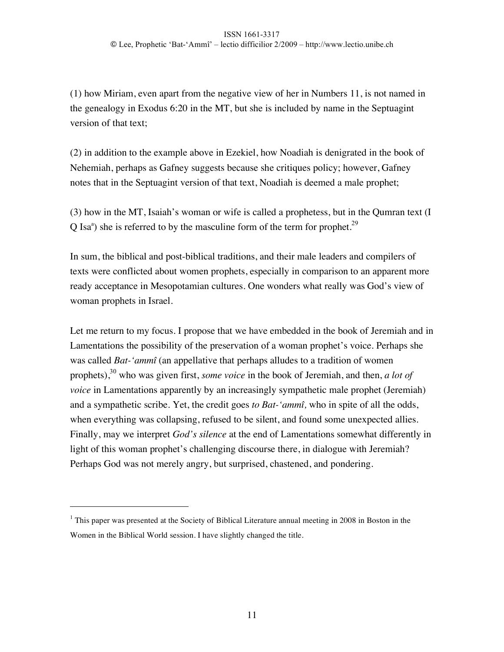(1) how Miriam, even apart from the negative view of her in Numbers 11, is not named in the genealogy in Exodus 6:20 in the MT, but she is included by name in the Septuagint version of that text;

(2) in addition to the example above in Ezekiel, how Noadiah is denigrated in the book of Nehemiah, perhaps as Gafney suggests because she critiques policy; however, Gafney notes that in the Septuagint version of that text, Noadiah is deemed a male prophet;

(3) how in the MT, Isaiah's woman or wife is called a prophetess, but in the Qumran text (I Q Isa<sup>a</sup>) she is referred to by the masculine form of the term for prophet.<sup>29</sup>

In sum, the biblical and post-biblical traditions, and their male leaders and compilers of texts were conflicted about women prophets, especially in comparison to an apparent more ready acceptance in Mesopotamian cultures. One wonders what really was God's view of woman prophets in Israel.

Let me return to my focus. I propose that we have embedded in the book of Jeremiah and in Lamentations the possibility of the preservation of a woman prophet's voice. Perhaps she was called *Bat-'ammî* (an appellative that perhaps alludes to a tradition of women prophets), <sup>30</sup> who was given first, *some voice* in the book of Jeremiah, and then, *a lot of voice* in Lamentations apparently by an increasingly sympathetic male prophet (Jeremiah) and a sympathetic scribe. Yet, the credit goes *to Bat-'ammî,* who in spite of all the odds, when everything was collapsing, refused to be silent, and found some unexpected allies. Finally, may we interpret *God's silence* at the end of Lamentations somewhat differently in light of this woman prophet's challenging discourse there, in dialogue with Jeremiah? Perhaps God was not merely angry, but surprised, chastened, and pondering.

 $\overline{a}$ 

 $1$  This paper was presented at the Society of Biblical Literature annual meeting in 2008 in Boston in the Women in the Biblical World session. I have slightly changed the title.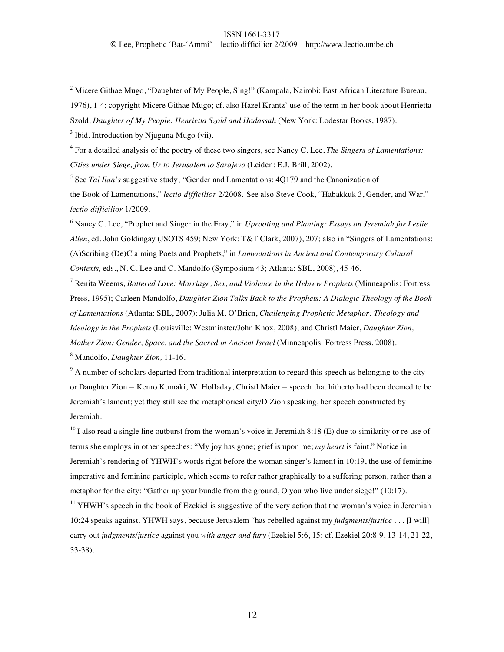<sup>2</sup> Micere Githae Mugo, "Daughter of My People, Sing!" (Kampala, Nairobi: East African Literature Bureau,

1976), 1-4; copyright Micere Githae Mugo; cf. also Hazel Krantz' use of the term in her book about Henrietta

Szold, *Daughter of My People: Henrietta Szold and Hadassah* (New York: Lodestar Books, 1987).

 $3$  Ibid. Introduction by Njuguna Mugo (vii).

 $\overline{a}$ 

4 For a detailed analysis of the poetry of these two singers, see Nancy C. Lee, *The Singers of Lamentations: Cities under Siege, from Ur to Jerusalem to Sarajevo* (Leiden: E.J. Brill, 2002).

5 See *Tal Ilan's* suggestive study, *"*Gender and Lamentations: 4Q179 and the Canonization of the Book of Lamentations," *lectio difficilior* 2/2008. See also Steve Cook, "Habakkuk 3, Gender, and War," *lectio difficilior* 1/2009.

6 Nancy C. Lee, "Prophet and Singer in the Fray," in *Uprooting and Planting: Essays on Jeremiah for Leslie Allen*, ed. John Goldingay (JSOTS 459; New York: T&T Clark, 2007), 207; also in "Singers of Lamentations: (A)Scribing (De)Claiming Poets and Prophets," in *Lamentations in Ancient and Contemporary Cultural Contexts,* eds., N. C. Lee and C. Mandolfo (Symposium 43; Atlanta: SBL, 2008), 45-46.

<sup>7</sup> Renita Weems, *Battered Love: Marriage, Sex, and Violence in the Hebrew Prophets (Minneapolis: Fortress* Press, 1995); Carleen Mandolfo, *Daughter Zion Talks Back to the Prophets: A Dialogic Theology of the Book of Lamentations* (Atlanta: SBL, 2007); Julia M. O'Brien, *Challenging Prophetic Metaphor: Theology and Ideology in the Prophets* (Louisville: Westminster/John Knox, 2008); and Christl Maier, *Daughter Zion, Mother Zion: Gender, Space, and the Sacred in Ancient Israel* (Minneapolis: Fortress Press, 2008). 8 Mandolfo, *Daughter Zion,* 11-16.

 $9<sup>9</sup>$  A number of scholars departed from traditional interpretation to regard this speech as belonging to the city or Daughter Zion – Kenro Kumaki, W. Holladay, Christl Maier – speech that hitherto had been deemed to be Jeremiah's lament; yet they still see the metaphorical city/D Zion speaking, her speech constructed by

Jeremiah.

 $^{10}$  I also read a single line outburst from the woman's voice in Jeremiah 8:18 (E) due to similarity or re-use of terms she employs in other speeches: "My joy has gone; grief is upon me; *my heart* is faint." Notice in Jeremiah's rendering of YHWH's words right before the woman singer's lament in 10:19, the use of feminine imperative and feminine participle, which seems to refer rather graphically to a suffering person, rather than a metaphor for the city: "Gather up your bundle from the ground, O you who live under siege!" (10:17).

<sup>11</sup> YHWH's speech in the book of Ezekiel is suggestive of the very action that the woman's voice in Jeremiah 10:24 speaks against. YHWH says, because Jerusalem "has rebelled against my *judgments/justice* . . . [I will] carry out *judgments/justice* against you *with anger and fury* (Ezekiel 5:6, 15; cf. Ezekiel 20:8-9, 13-14, 21-22, 33-38).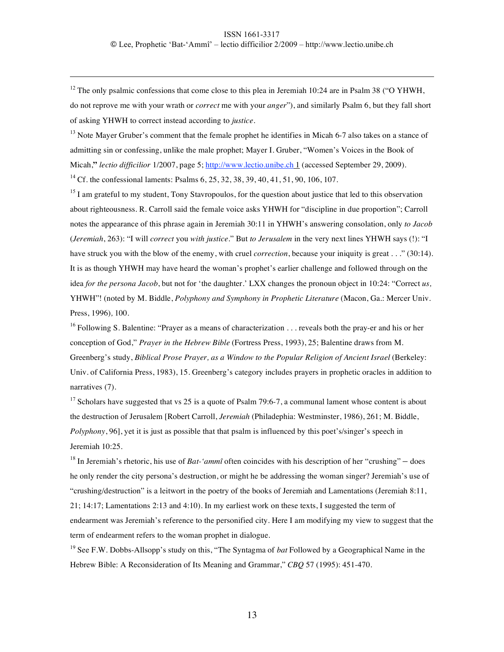<sup>12</sup> The only psalmic confessions that come close to this plea in Jeremiah 10:24 are in Psalm 38 ("O YHWH, do not reprove me with your wrath or *correct* me with your *anger*"), and similarly Psalm 6, but they fall short of asking YHWH to correct instead according to *justice.*

 $\overline{a}$ 

 $<sup>13</sup>$  Note Mayer Gruber's comment that the female prophet he identifies in Micah 6-7 also takes on a stance of</sup> admitting sin or confessing, unlike the male prophet; Mayer I. Gruber, "Women's Voices in the Book of Micah,**"** *lectio difficilior* 1/2007, page 5; http://www.lectio.unibe.ch 1 (accessed September 29, 2009). <sup>14</sup> Cf. the confessional laments: Psalms  $6, 25, 32, 38, 39, 40, 41, 51, 90, 106, 107$ .

<sup>15</sup> I am grateful to my student, Tony Stavropoulos, for the question about justice that led to this observation about righteousness. R. Carroll said the female voice asks YHWH for "discipline in due proportion"; Carroll notes the appearance of this phrase again in Jeremiah 30:11 in YHWH's answering consolation, only *to Jacob* (*Jeremiah*, 263): "I will *correct* you *with justice*." But *to Jerusalem* in the very next lines YHWH says (!): "I have struck you with the blow of the enemy, with cruel *correction*, because your iniquity is great . . ." (30:14). It is as though YHWH may have heard the woman's prophet's earlier challenge and followed through on the idea *for the persona Jacob*, but not for 'the daughter.' LXX changes the pronoun object in 10:24: "Correct *us,*  YHWH"! (noted by M. Biddle, *Polyphony and Symphony in Prophetic Literature* (Macon, Ga.: Mercer Univ. Press, 1996)*,* 100.

<sup>16</sup> Following S. Balentine: "Prayer as a means of characterization . . . reveals both the pray-er and his or her conception of God," *Prayer in the Hebrew Bible* (Fortress Press, 1993), 25; Balentine draws from M. Greenberg's study, *Biblical Prose Prayer, as a Window to the Popular Religion of Ancient Israel* (Berkeley: Univ. of California Press, 1983), 15. Greenberg's category includes prayers in prophetic oracles in addition to narratives (7).

<sup>17</sup> Scholars have suggested that vs 25 is a quote of Psalm 79:6-7, a communal lament whose content is about the destruction of Jerusalem [Robert Carroll, *Jeremiah* (Philadephia: Westminster, 1986), 261; M. Biddle, *Polyphony*, 96], yet it is just as possible that that psalm is influenced by this poet's/singer's speech in Jeremiah 10:25.

<sup>18</sup> In Jeremiah's rhetoric, his use of *Bat-'ammî* often coincides with his description of her "crushing" – does he only render the city persona's destruction, or might he be addressing the woman singer? Jeremiah's use of "crushing/destruction" is a leitwort in the poetry of the books of Jeremiah and Lamentations (Jeremiah 8:11, 21; 14:17; Lamentations 2:13 and 4:10). In my earliest work on these texts, I suggested the term of endearment was Jeremiah's reference to the personified city. Here I am modifying my view to suggest that the term of endearment refers to the woman prophet in dialogue.

<sup>19</sup> See F.W. Dobbs-Allsopp's study on this, "The Syntagma of *bat* Followed by a Geographical Name in the Hebrew Bible: A Reconsideration of Its Meaning and Grammar," *CBQ* 57 (1995): 451-470.